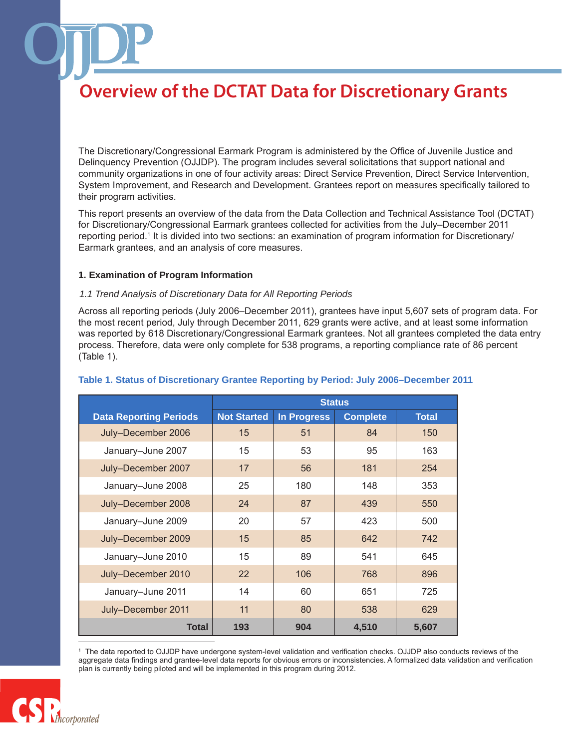The Discretionary/Congressional Earmark Program is administered by the Office of Juvenile Justice and Delinquency Prevention (OJJDP). The program includes several solicitations that support national and community organizations in one of four activity areas: Direct Service Prevention, Direct Service Intervention, System Improvement, and Research and Development. Grantees report on measures specifically tailored to their program activities.

This report presents an overview of the data from the Data Collection and Technical Assistance Tool (DCTAT) for Discretionary/Congressional Earmark grantees collected for activities from the July–December 2011 reporting period.1 It is divided into two sections: an examination of program information for Discretionary/ Earmark grantees, and an analysis of core measures.

### **1. Examination of Program Information**

### *1.1 Trend Analysis of Discretionary Data for All Reporting Periods*

Across all reporting periods (July 2006–December 2011), grantees have input 5,607 sets of program data. For the most recent period, July through December 2011, 629 grants were active, and at least some information was reported by 618 Discretionary/Congressional Earmark grantees. Not all grantees completed the data entry process. Therefore, data were only complete for 538 programs, a reporting compliance rate of 86 percent (Table 1).

|                               | <b>Status</b>      |                    |                 |              |
|-------------------------------|--------------------|--------------------|-----------------|--------------|
| <b>Data Reporting Periods</b> | <b>Not Started</b> | <b>In Progress</b> | <b>Complete</b> | <b>Total</b> |
| July-December 2006            | 15                 | 51                 | 84              | 150          |
| January-June 2007             | 15                 | 53                 | 95              | 163          |
| July-December 2007            | 17                 | 56                 | 181             | 254          |
| January-June 2008             | 25                 | 180                | 148             | 353          |
| July-December 2008            | 24                 | 87                 | 439             | 550          |
| January-June 2009             | 20                 | 57                 | 423             | 500          |
| July-December 2009            | 15                 | 85                 | 642             | 742          |
| January-June 2010             | 15                 | 89                 | 541             | 645          |
| July-December 2010            | 22                 | 106                | 768             | 896          |
| January-June 2011             | 14                 | 60                 | 651             | 725          |
| July-December 2011            | 11                 | 80                 | 538             | 629          |
| <b>Total</b>                  | 193                | 904                | 4,510           | 5,607        |

### **Table 1. Status of Discretionary Grantee Reporting by Period: July 2006–December 2011**

<sup>1</sup> The data reported to OJJDP have undergone system-level validation and verification checks. OJJDP also conducts reviews of the aggregate data findings and grantee-level data reports for obvious errors or inconsistencies. A formalized data validation and verification plan is currently being piloted and will be implemented in this program during 2012.

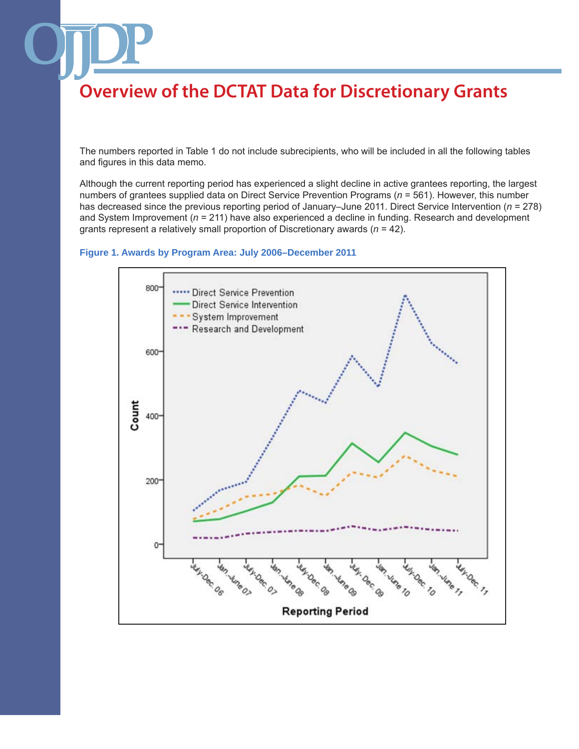The numbers reported in Table 1 do not include subrecipients, who will be included in all the following tables and figures in this data memo.

Although the current reporting period has experienced a slight decline in active grantees reporting, the largest numbers of grantees supplied data on Direct Service Prevention Programs (*n* = 561). However, this number has decreased since the previous reporting period of January–June 2011. Direct Service Intervention (*n* = 278) and System Improvement (*n* = 211) have also experienced a decline in funding. Research and development grants represent a relatively small proportion of Discretionary awards (*n* = 42).

### **Figure 1. Awards by Program Area: July 2006–December 2011**

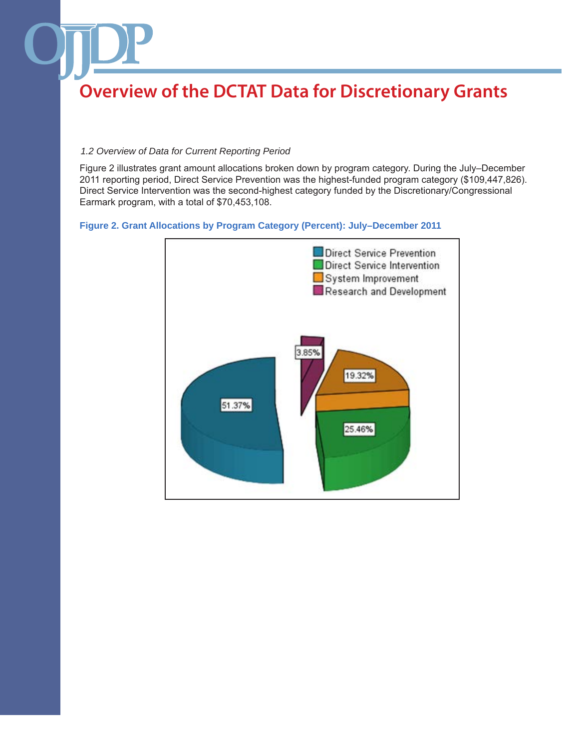### *1.2 Overview of Data for Current Reporting Period*

Figure 2 illustrates grant amount allocations broken down by program category. During the July–December 2011 reporting period, Direct Service Prevention was the highest-funded program category (\$109,447,826). Direct Service Intervention was the second-highest category funded by the Discretionary/Congressional Earmark program, with a total of \$70,453,108.

### **Figure 2. Grant Allocations by Program Category (Percent): July–December 2011**

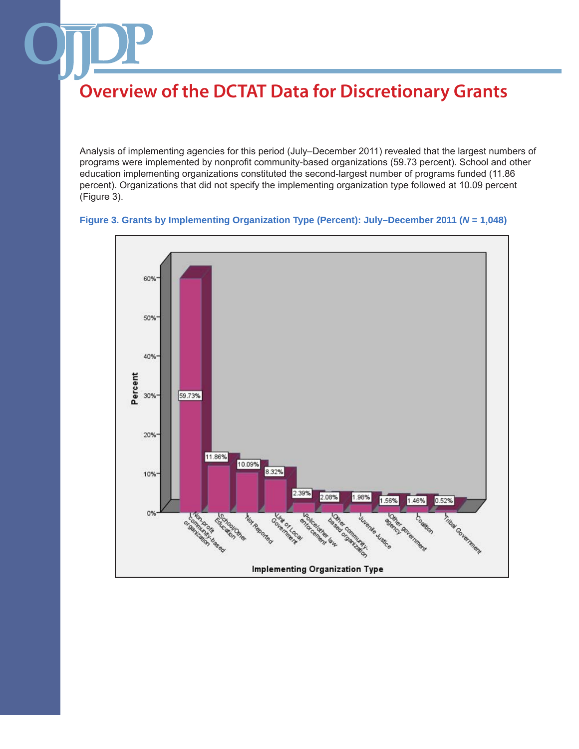Analysis of implementing agencies for this period (July–December 2011) revealed that the largest numbers of programs were implemented by nonprofit community-based organizations (59.73 percent). School and other education implementing organizations constituted the second-largest number of programs funded (11.86 percent). Organizations that did not specify the implementing organization type followed at 10.09 percent (Figure 3).



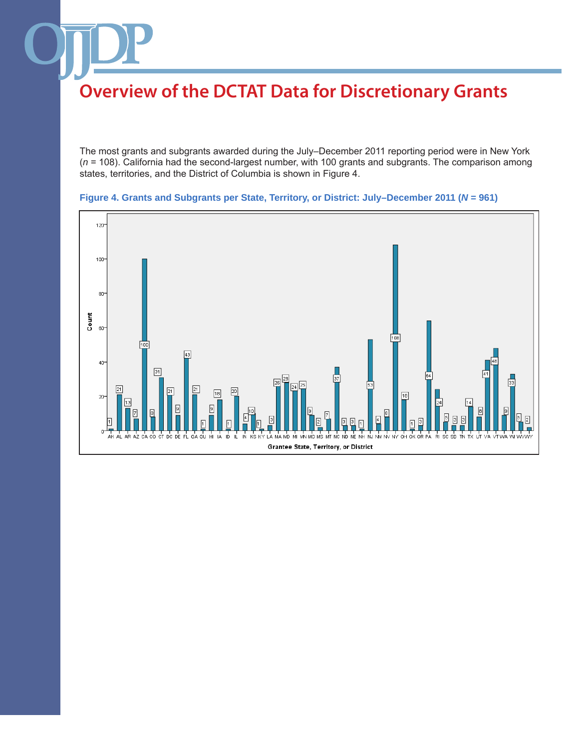The most grants and subgrants awarded during the July–December 2011 reporting period were in New York (*n* = 108). California had the second-largest number, with 100 grants and subgrants. The comparison among states, territories, and the District of Columbia is shown in Figure 4.



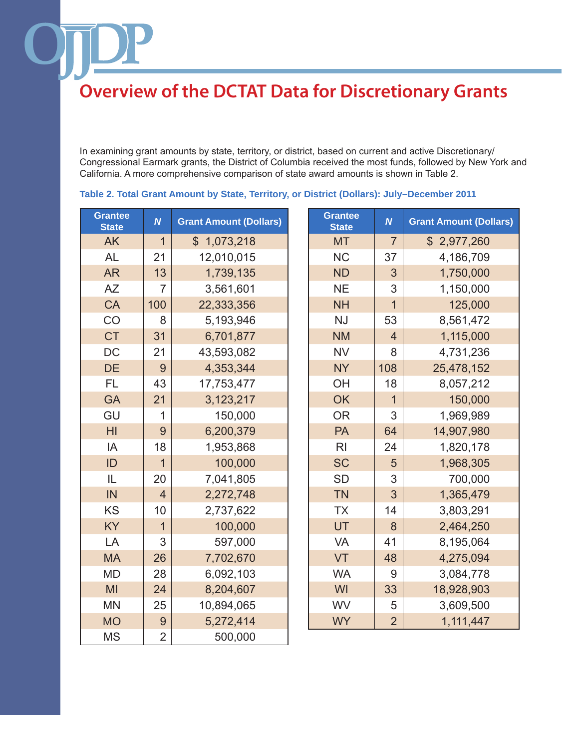In examining grant amounts by state, territory, or district, based on current and active Discretionary/ Congressional Earmark grants, the District of Columbia received the most funds, followed by New York and California. A more comprehensive comparison of state award amounts is shown in Table 2.

| <b>Grantee</b><br><b>State</b> | $\boldsymbol{N}$ | <b>Grant Amount (Dollars)</b> | <b>Grantee</b><br><b>State</b> | $\boldsymbol{N}$ | <b>Grant Amount (Dollars)</b> |
|--------------------------------|------------------|-------------------------------|--------------------------------|------------------|-------------------------------|
| <b>AK</b>                      | $\overline{1}$   | \$1,073,218                   | <b>MT</b>                      | $\overline{7}$   | \$2,977,260                   |
| <b>AL</b>                      | 21               | 12,010,015                    | <b>NC</b>                      | 37               | 4,186,709                     |
| <b>AR</b>                      | 13               | 1,739,135                     | <b>ND</b>                      | 3                | 1,750,000                     |
| <b>AZ</b>                      | $\overline{7}$   | 3,561,601                     | <b>NE</b>                      | 3                | 1,150,000                     |
| CA                             | 100              | 22,333,356                    | <b>NH</b>                      | $\overline{1}$   | 125,000                       |
| CO                             | 8                | 5,193,946                     | <b>NJ</b>                      | 53               | 8,561,472                     |
| <b>CT</b>                      | 31               | 6,701,877                     | <b>NM</b>                      | $\overline{4}$   | 1,115,000                     |
| DC                             | 21               | 43,593,082                    | <b>NV</b>                      | 8                | 4,731,236                     |
| <b>DE</b>                      | 9                | 4,353,344                     | <b>NY</b>                      | 108              | 25,478,152                    |
| <b>FL</b>                      | 43               | 17,753,477                    | OH                             | 18               | 8,057,212                     |
| <b>GA</b>                      | 21               | 3,123,217                     | <b>OK</b>                      | $\overline{1}$   | 150,000                       |
| GU                             | 1                | 150,000                       | <b>OR</b>                      | 3                | 1,969,989                     |
| H <sub>l</sub>                 | 9                | 6,200,379                     | PA                             | 64               | 14,907,980                    |
| IA                             | 18               | 1,953,868                     | R <sub>l</sub>                 | 24               | 1,820,178                     |
| ID                             | $\mathbf{1}$     | 100,000                       | <b>SC</b>                      | 5                | 1,968,305                     |
| IL                             | 20               | 7,041,805                     | <b>SD</b>                      | 3                | 700,000                       |
| IN                             | $\overline{4}$   | 2,272,748                     | <b>TN</b>                      | 3                | 1,365,479                     |
| KS                             | 10               | 2,737,622                     | <b>TX</b>                      | 14               | 3,803,291                     |
| <b>KY</b>                      | $\overline{1}$   | 100,000                       | UT                             | 8                | 2,464,250                     |
| LA                             | 3                | 597,000                       | <b>VA</b>                      | 41               | 8,195,064                     |
| <b>MA</b>                      | 26               | 7,702,670                     | VT                             | 48               | 4,275,094                     |
| <b>MD</b>                      | 28               | 6,092,103                     | <b>WA</b>                      | 9                | 3,084,778                     |
| MI                             | 24               | 8,204,607                     | WI                             | 33               | 18,928,903                    |
| <b>MN</b>                      | 25               | 10,894,065                    | WV                             | 5                | 3,609,500                     |
| <b>MO</b>                      | 9                | 5,272,414                     | <b>WY</b>                      | $\overline{2}$   | 1,111,447                     |
| <b>MS</b>                      | $\overline{2}$   | 500,000                       |                                |                  |                               |

### **Table 2. Total Grant Amount by State, Territory, or District (Dollars): July–December 2011**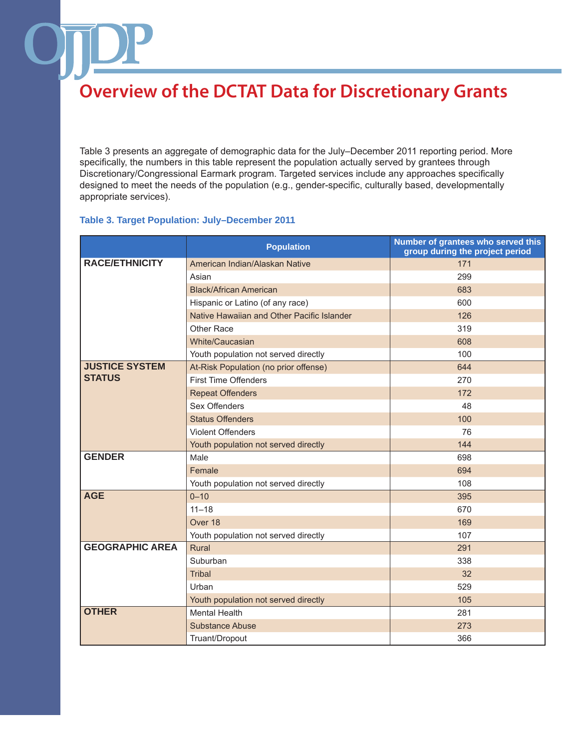Table 3 presents an aggregate of demographic data for the July–December 2011 reporting period. More specifically, the numbers in this table represent the population actually served by grantees through Discretionary/Congressional Earmark program. Targeted services include any approaches specifically designed to meet the needs of the population (e.g., gender-specific, culturally based, developmentally appropriate services).

### **Table 3. Target Population: July–December 2011**

|                        | <b>Population</b>                          | Number of grantees who served this<br>group during the project period |
|------------------------|--------------------------------------------|-----------------------------------------------------------------------|
| <b>RACE/ETHNICITY</b>  | American Indian/Alaskan Native             | 171                                                                   |
|                        | Asian                                      | 299                                                                   |
|                        | <b>Black/African American</b>              | 683                                                                   |
|                        | Hispanic or Latino (of any race)           | 600                                                                   |
|                        | Native Hawaiian and Other Pacific Islander | 126                                                                   |
|                        | Other Race                                 | 319                                                                   |
|                        | White/Caucasian                            | 608                                                                   |
|                        | Youth population not served directly       | 100                                                                   |
| <b>JUSTICE SYSTEM</b>  | At-Risk Population (no prior offense)      | 644                                                                   |
| <b>STATUS</b>          | <b>First Time Offenders</b>                | 270                                                                   |
|                        | <b>Repeat Offenders</b>                    | 172                                                                   |
|                        | Sex Offenders                              | 48                                                                    |
|                        | <b>Status Offenders</b>                    | 100                                                                   |
|                        | <b>Violent Offenders</b>                   | 76                                                                    |
|                        | Youth population not served directly       | 144                                                                   |
| <b>GENDER</b>          | Male                                       | 698                                                                   |
|                        | Female                                     | 694                                                                   |
|                        | Youth population not served directly       | 108                                                                   |
| <b>AGE</b>             | $0 - 10$                                   | 395                                                                   |
|                        | $11 - 18$                                  | 670                                                                   |
|                        | Over 18                                    | 169                                                                   |
|                        | Youth population not served directly       | 107                                                                   |
| <b>GEOGRAPHIC AREA</b> | Rural                                      | 291                                                                   |
|                        | Suburban                                   | 338                                                                   |
|                        | <b>Tribal</b>                              | 32                                                                    |
|                        | Urban                                      | 529                                                                   |
|                        | Youth population not served directly       | 105                                                                   |
| <b>OTHER</b>           | <b>Mental Health</b>                       | 281                                                                   |
|                        | <b>Substance Abuse</b>                     | 273                                                                   |
|                        | Truant/Dropout                             | 366                                                                   |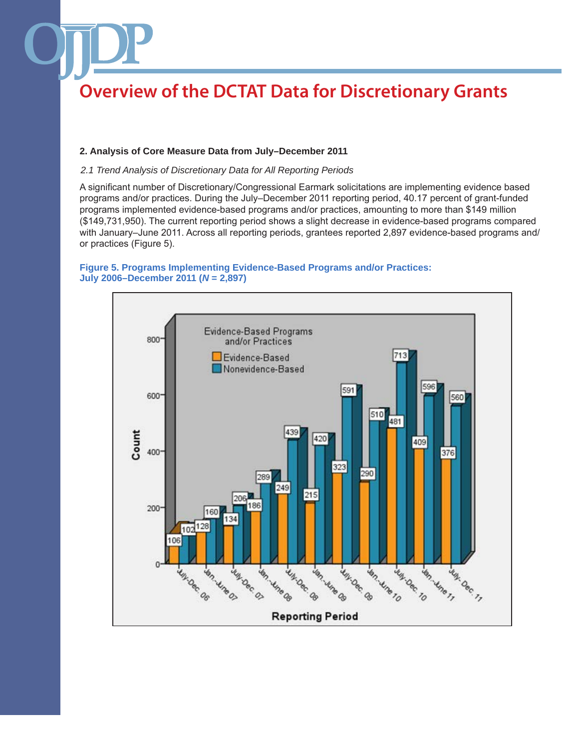### **2. Analysis of Core Measure Data from July–December 2011**

### *2.1 Trend Analysis of Discretionary Data for All Reporting Periods*

A significant number of Discretionary/Congressional Earmark solicitations are implementing evidence based programs and/or practices. During the July–December 2011 reporting period, 40.17 percent of grant-funded programs implemented evidence-based programs and/or practices, amounting to more than \$149 million (\$149,731,950). The current reporting period shows a slight decrease in evidence-based programs compared with January–June 2011. Across all reporting periods, grantees reported 2,897 evidence-based programs and/ or practices (Figure 5).

### **Figure 5. Programs Implementing Evidence-Based Programs and/or Practices: July 2006–December 2011 (***N* **= 2,897)**

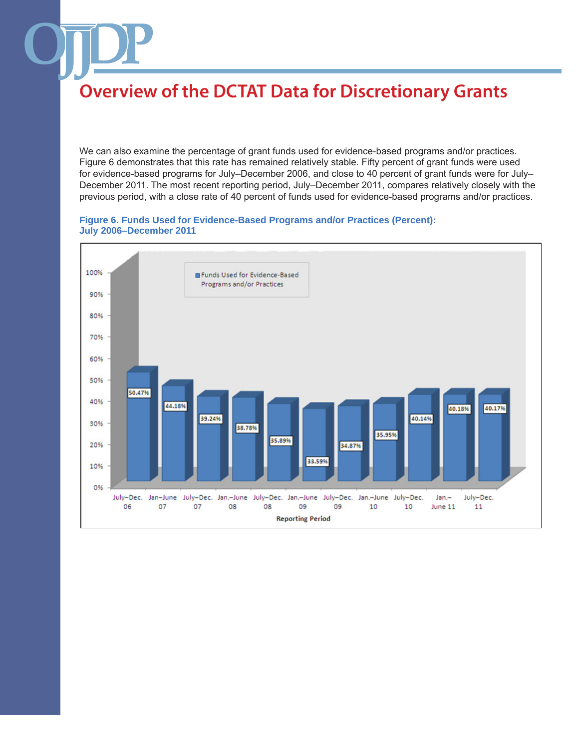We can also examine the percentage of grant funds used for evidence-based programs and/or practices. Figure 6 demonstrates that this rate has remained relatively stable. Fifty percent of grant funds were used for evidence-based programs for July–December 2006, and close to 40 percent of grant funds were for July– December 2011. The most recent reporting period, July–December 2011, compares relatively closely with the previous period, with a close rate of 40 percent of funds used for evidence-based programs and/or practices.

#### **Figure 6. Funds Used for Evidence-Based Programs and/or Practices (Percent): July 2006–December 2011**

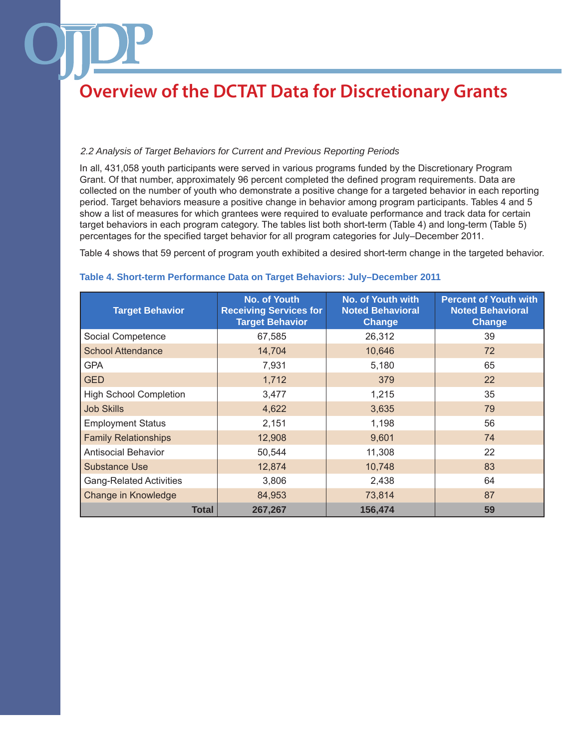### *2.2 Analysis of Target Behaviors for Current and Previous Reporting Periods*

In all, 431,058 youth participants were served in various programs funded by the Discretionary Program Grant. Of that number, approximately 96 percent completed the defined program requirements. Data are collected on the number of youth who demonstrate a positive change for a targeted behavior in each reporting period. Target behaviors measure a positive change in behavior among program participants. Tables 4 and 5 show a list of measures for which grantees were required to evaluate performance and track data for certain target behaviors in each program category. The tables list both short-term (Table 4) and long-term (Table 5) percentages for the specified target behavior for all program categories for July–December 2011.

Table 4 shows that 59 percent of program youth exhibited a desired short-term change in the targeted behavior.

| <b>Target Behavior</b>         | <b>No. of Youth</b><br><b>Receiving Services for</b><br><b>Target Behavior</b> | No. of Youth with<br><b>Noted Behavioral</b><br><b>Change</b> | <b>Percent of Youth with</b><br><b>Noted Behavioral</b><br>Change |
|--------------------------------|--------------------------------------------------------------------------------|---------------------------------------------------------------|-------------------------------------------------------------------|
| Social Competence              | 67,585                                                                         | 26,312                                                        | 39                                                                |
| <b>School Attendance</b>       | 14,704                                                                         | 10,646                                                        | 72                                                                |
| <b>GPA</b>                     | 7,931                                                                          | 5,180                                                         | 65                                                                |
| <b>GED</b>                     | 1,712                                                                          | 379                                                           | 22                                                                |
| <b>High School Completion</b>  | 3,477                                                                          | 1,215                                                         | 35                                                                |
| <b>Job Skills</b>              | 4,622                                                                          | 3,635                                                         | 79                                                                |
| <b>Employment Status</b>       | 2,151                                                                          | 1,198                                                         | 56                                                                |
| <b>Family Relationships</b>    | 12,908                                                                         | 9,601                                                         | 74                                                                |
| <b>Antisocial Behavior</b>     | 50,544                                                                         | 11,308                                                        | 22                                                                |
| <b>Substance Use</b>           | 12,874                                                                         | 10,748                                                        | 83                                                                |
| <b>Gang-Related Activities</b> | 3,806                                                                          | 2,438                                                         | 64                                                                |
| Change in Knowledge            | 84,953                                                                         | 73,814                                                        | 87                                                                |
| <b>Total</b>                   | 267,267                                                                        | 156,474                                                       | 59                                                                |

### **Table 4. Short-term Performance Data on Target Behaviors: July–December 2011**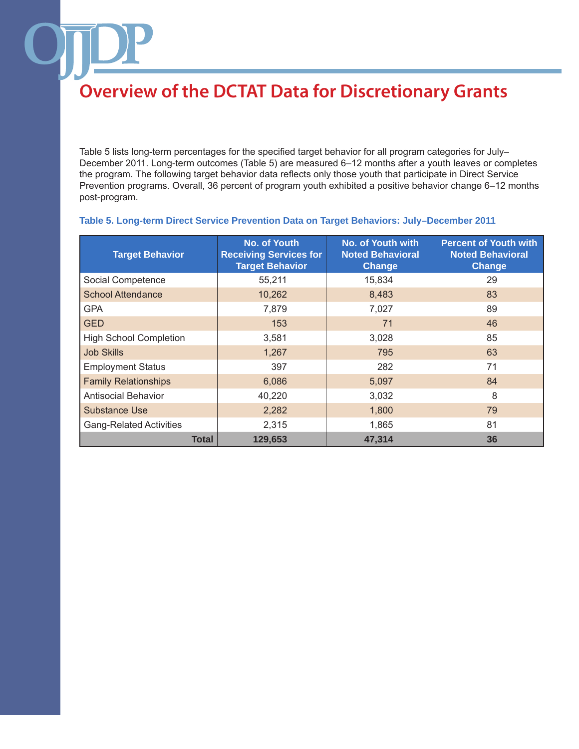Table 5 lists long-term percentages for the specified target behavior for all program categories for July– December 2011. Long-term outcomes (Table 5) are measured 6–12 months after a youth leaves or completes the program. The following target behavior data reflects only those youth that participate in Direct Service Prevention programs. Overall, 36 percent of program youth exhibited a positive behavior change 6–12 months post-program.

| <b>Target Behavior</b>         | No. of Youth<br><b>Receiving Services for</b><br><b>Target Behavior</b> | <b>No. of Youth with</b><br><b>Noted Behavioral</b><br><b>Change</b> | <b>Percent of Youth with</b><br><b>Noted Behavioral</b><br>Change |
|--------------------------------|-------------------------------------------------------------------------|----------------------------------------------------------------------|-------------------------------------------------------------------|
| Social Competence              | 55,211                                                                  | 15,834                                                               | 29                                                                |
| <b>School Attendance</b>       | 10,262                                                                  | 8,483                                                                | 83                                                                |
| <b>GPA</b>                     | 7,879                                                                   | 7,027                                                                | 89                                                                |
| <b>GED</b>                     | 153                                                                     | 71                                                                   | 46                                                                |
| <b>High School Completion</b>  | 3,581                                                                   | 3,028                                                                | 85                                                                |
| Job Skills                     | 1,267                                                                   | 795                                                                  | 63                                                                |
| <b>Employment Status</b>       | 397                                                                     | 282                                                                  | 71                                                                |
| <b>Family Relationships</b>    | 6,086                                                                   | 5,097                                                                | 84                                                                |
| <b>Antisocial Behavior</b>     | 40,220                                                                  | 3,032                                                                | 8                                                                 |
| <b>Substance Use</b>           | 2,282                                                                   | 1,800                                                                | 79                                                                |
| <b>Gang-Related Activities</b> | 2,315                                                                   | 1,865                                                                | 81                                                                |
| <b>Total</b>                   | 129,653                                                                 | 47,314                                                               | 36                                                                |

### **Table 5. Long-term Direct Service Prevention Data on Target Behaviors: July–December 2011**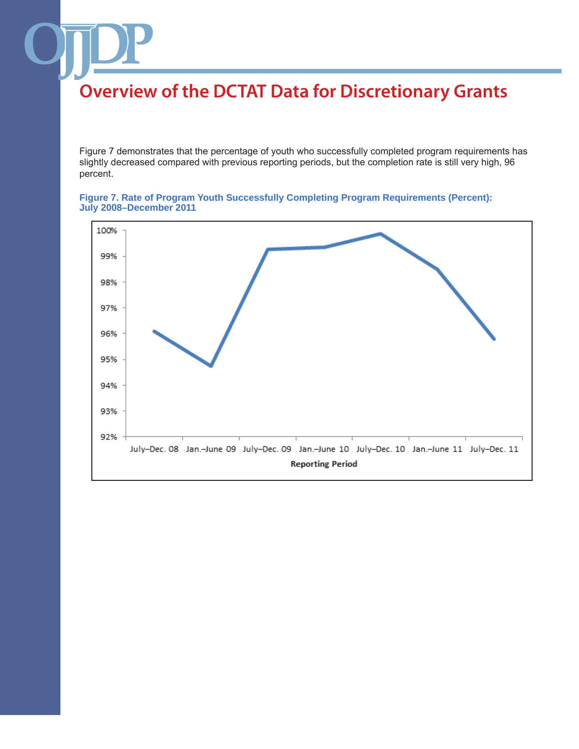Figure 7 demonstrates that the percentage of youth who successfully completed program requirements has slightly decreased compared with previous reporting periods, but the completion rate is still very high, 96 percent.



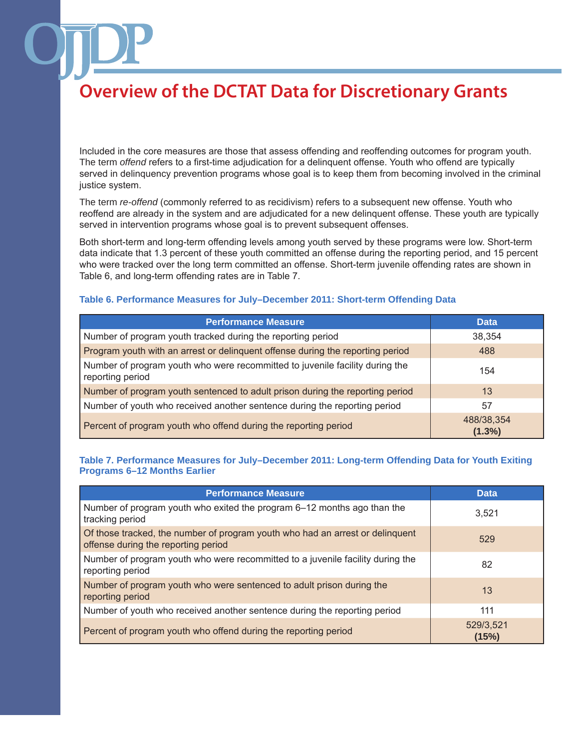Included in the core measures are those that assess offending and reoffending outcomes for program youth. The term *offend* refers to a first-time adjudication for a delinquent offense. Youth who offend are typically served in delinquency prevention programs whose goal is to keep them from becoming involved in the criminal justice system.

The term *re-offend* (commonly referred to as recidivism) refers to a subsequent new offense. Youth who reoffend are already in the system and are adjudicated for a new delinquent offense. These youth are typically served in intervention programs whose goal is to prevent subsequent offenses.

Both short-term and long-term offending levels among youth served by these programs were low. Short-term data indicate that 1.3 percent of these youth committed an offense during the reporting period, and 15 percent who were tracked over the long term committed an offense. Short-term juvenile offending rates are shown in Table 6, and long-term offending rates are in Table 7.

### **Table 6. Performance Measures for July–December 2011: Short-term Offending Data**

| <b>Performance Measure</b>                                                                       | <b>Data</b>             |
|--------------------------------------------------------------------------------------------------|-------------------------|
| Number of program youth tracked during the reporting period                                      | 38,354                  |
| Program youth with an arrest or delinquent offense during the reporting period                   | 488                     |
| Number of program youth who were recommitted to juvenile facility during the<br>reporting period | 154                     |
| Number of program youth sentenced to adult prison during the reporting period                    | 13                      |
| Number of youth who received another sentence during the reporting period                        | 57                      |
| Percent of program youth who offend during the reporting period                                  | 488/38,354<br>$(1.3\%)$ |

### **Table 7. Performance Measures for July–December 2011: Long-term Offending Data for Youth Exiting Programs 6–12 Months Earlier**

| <b>Performance Measure</b>                                                                                           | <b>Data</b>        |
|----------------------------------------------------------------------------------------------------------------------|--------------------|
| Number of program youth who exited the program 6–12 months ago than the<br>tracking period                           | 3.521              |
| Of those tracked, the number of program youth who had an arrest or delinquent<br>offense during the reporting period | 529                |
| Number of program youth who were recommitted to a juvenile facility during the<br>reporting period                   | 82                 |
| Number of program youth who were sentenced to adult prison during the<br>reporting period                            | 13                 |
| Number of youth who received another sentence during the reporting period                                            | 111                |
| Percent of program youth who offend during the reporting period                                                      | 529/3,521<br>(15%) |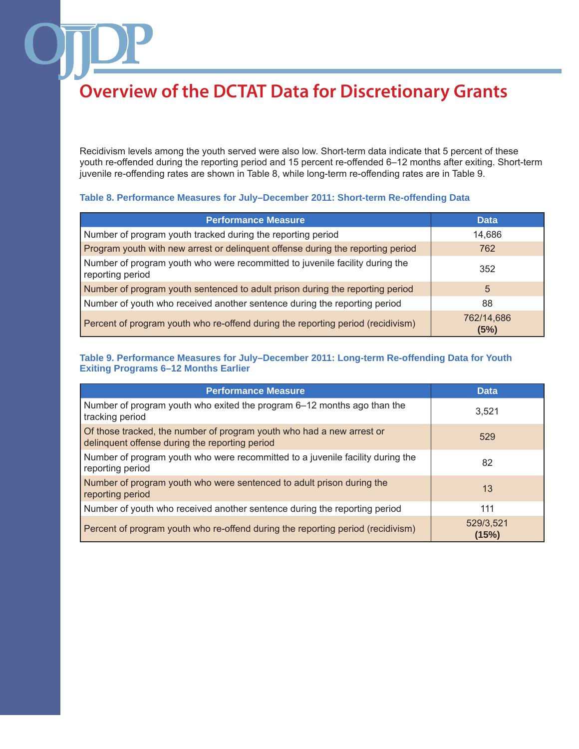Recidivism levels among the youth served were also low. Short-term data indicate that 5 percent of these youth re-offended during the reporting period and 15 percent re-offended 6–12 months after exiting. Short-term juvenile re-offending rates are shown in Table 8, while long-term re-offending rates are in Table 9.

### **Table 8. Performance Measures for July–December 2011: Short-term Re-offending Data**

| <b>Performance Measure</b>                                                                       | <b>Data</b>        |
|--------------------------------------------------------------------------------------------------|--------------------|
| Number of program youth tracked during the reporting period                                      | 14,686             |
| Program youth with new arrest or delinquent offense during the reporting period                  | 762                |
| Number of program youth who were recommitted to juvenile facility during the<br>reporting period | 352                |
| Number of program youth sentenced to adult prison during the reporting period                    | 5                  |
| Number of youth who received another sentence during the reporting period                        | 88                 |
| Percent of program youth who re-offend during the reporting period (recidivism)                  | 762/14,686<br>(5%) |

### **Table 9. Performance Measures for July–December 2011: Long-term Re-offending Data for Youth Exiting Programs 6–12 Months Earlier**

| <b>Performance Measure</b>                                                                                              | <b>Data</b>        |
|-------------------------------------------------------------------------------------------------------------------------|--------------------|
| Number of program youth who exited the program 6-12 months ago than the<br>tracking period                              | 3.521              |
| Of those tracked, the number of program youth who had a new arrest or<br>delinquent offense during the reporting period | 529                |
| Number of program youth who were recommitted to a juvenile facility during the<br>reporting period                      | 82                 |
| Number of program youth who were sentenced to adult prison during the<br>reporting period                               | 13                 |
| Number of youth who received another sentence during the reporting period                                               | 111                |
| Percent of program youth who re-offend during the reporting period (recidivism)                                         | 529/3,521<br>(15%) |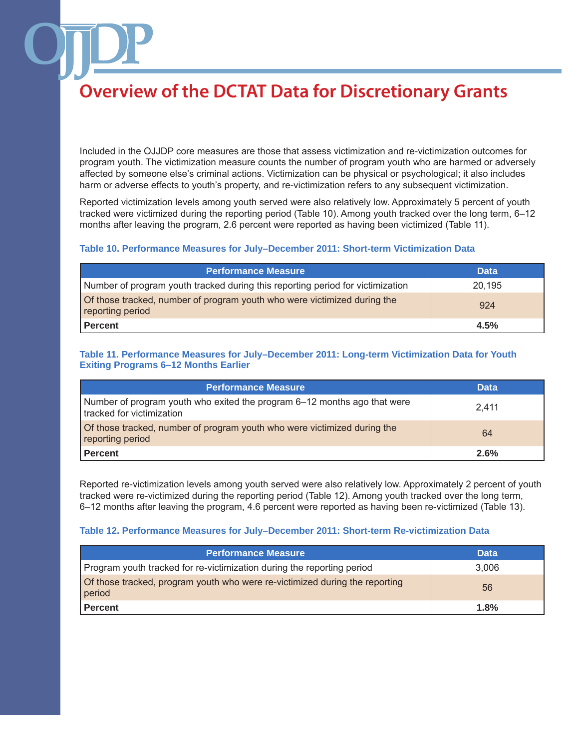Included in the OJJDP core measures are those that assess victimization and re-victimization outcomes for program youth. The victimization measure counts the number of program youth who are harmed or adversely affected by someone else's criminal actions. Victimization can be physical or psychological; it also includes harm or adverse effects to youth's property, and re-victimization refers to any subsequent victimization.

Reported victimization levels among youth served were also relatively low. Approximately 5 percent of youth tracked were victimized during the reporting period (Table 10). Among youth tracked over the long term, 6–12 months after leaving the program, 2.6 percent were reported as having been victimized (Table 11).

### **Table 10. Performance Measures for July–December 2011: Short-term Victimization Data**

| <b>Performance Measure</b>                                                                   | <b>Data</b> |
|----------------------------------------------------------------------------------------------|-------------|
| Number of program youth tracked during this reporting period for victimization               | 20.195      |
| Of those tracked, number of program youth who were victimized during the<br>reporting period | 924         |
| <b>Percent</b>                                                                               | 4.5%        |

### **Table 11. Performance Measures for July–December 2011: Long-term Victimization Data for Youth Exiting Programs 6–12 Months Earlier**

| <b>Performance Measure</b>                                                                            | <b>Data</b> |
|-------------------------------------------------------------------------------------------------------|-------------|
| Number of program youth who exited the program 6–12 months ago that were<br>tracked for victimization | 2,411       |
| Of those tracked, number of program youth who were victimized during the<br>reporting period          | 64          |
| <b>Percent</b>                                                                                        | 2.6%        |

Reported re-victimization levels among youth served were also relatively low. Approximately 2 percent of youth tracked were re-victimized during the reporting period (Table 12). Among youth tracked over the long term, 6–12 months after leaving the program, 4.6 percent were reported as having been re-victimized (Table 13).

### **Table 12. Performance Measures for July–December 2011: Short-term Re-victimization Data**

| <b>Performance Measure</b>                                                            | <b>Data</b> |
|---------------------------------------------------------------------------------------|-------------|
| Program youth tracked for re-victimization during the reporting period                | 3.006       |
| Of those tracked, program youth who were re-victimized during the reporting<br>period | 56          |
| <b>Percent</b>                                                                        | 1.8%        |